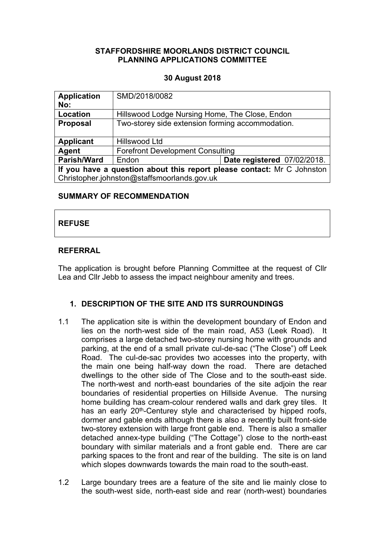## **STAFFORDSHIRE MOORLANDS DISTRICT COUNCIL PLANNING APPLICATIONS COMMITTEE**

## **30 August 2018**

| <b>Application</b><br>No:                                              | SMD/2018/0082                                    |                             |  |
|------------------------------------------------------------------------|--------------------------------------------------|-----------------------------|--|
| Location                                                               | Hillswood Lodge Nursing Home, The Close, Endon   |                             |  |
| <b>Proposal</b>                                                        | Two-storey side extension forming accommodation. |                             |  |
| <b>Applicant</b>                                                       | Hillswood Ltd                                    |                             |  |
| Agent                                                                  | <b>Forefront Development Consulting</b>          |                             |  |
| <b>Parish/Ward</b>                                                     | Endon                                            | Date registered 07/02/2018. |  |
| If you have a question about this report please contact: Mr C Johnston |                                                  |                             |  |
| Christopher.johnston@staffsmoorlands.gov.uk                            |                                                  |                             |  |

### **SUMMARY OF RECOMMENDATION**

# **REFUSE**

## **REFERRAL**

The application is brought before Planning Committee at the request of Cllr Lea and Cllr Jebb to assess the impact neighbour amenity and trees.

# **1. DESCRIPTION OF THE SITE AND ITS SURROUNDINGS**

- 1.1 The application site is within the development boundary of Endon and lies on the north-west side of the main road, A53 (Leek Road). It comprises a large detached two-storey nursing home with grounds and parking, at the end of a small private cul-de-sac ("The Close") off Leek Road. The cul-de-sac provides two accesses into the property, with the main one being half-way down the road. There are detached dwellings to the other side of The Close and to the south-east side. The north-west and north-east boundaries of the site adjoin the rear boundaries of residential properties on Hillside Avenue. The nursing home building has cream-colour rendered walls and dark grey tiles. It has an early 20<sup>th</sup>-Centurey style and characterised by hipped roofs, dormer and gable ends although there is also a recently built front-side two-storey extension with large front gable end. There is also a smaller detached annex-type building ("The Cottage") close to the north-east boundary with similar materials and a front gable end. There are car parking spaces to the front and rear of the building. The site is on land which slopes downwards towards the main road to the south-east.
- 1.2 Large boundary trees are a feature of the site and lie mainly close to the south-west side, north-east side and rear (north-west) boundaries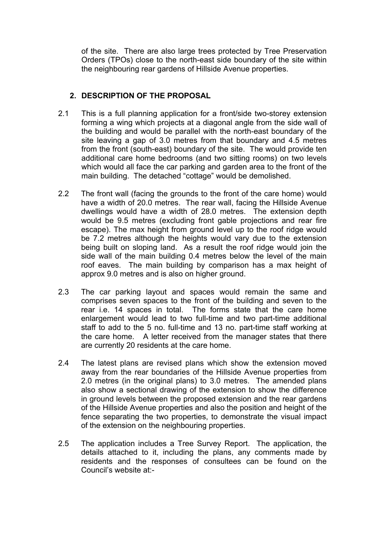of the site. There are also large trees protected by Tree Preservation Orders (TPOs) close to the north-east side boundary of the site within the neighbouring rear gardens of Hillside Avenue properties.

# **2. DESCRIPTION OF THE PROPOSAL**

- 2.1 This is a full planning application for a front/side two-storey extension forming a wing which projects at a diagonal angle from the side wall of the building and would be parallel with the north-east boundary of the site leaving a gap of 3.0 metres from that boundary and 4.5 metres from the front (south-east) boundary of the site. The would provide ten additional care home bedrooms (and two sitting rooms) on two levels which would all face the car parking and garden area to the front of the main building. The detached "cottage" would be demolished.
- 2.2 The front wall (facing the grounds to the front of the care home) would have a width of 20.0 metres. The rear wall, facing the Hillside Avenue dwellings would have a width of 28.0 metres. The extension depth would be 9.5 metres (excluding front gable projections and rear fire escape). The max height from ground level up to the roof ridge would be 7.2 metres although the heights would vary due to the extension being built on sloping land. As a result the roof ridge would join the side wall of the main building 0.4 metres below the level of the main roof eaves. The main building by comparison has a max height of approx 9.0 metres and is also on higher ground.
- 2.3 The car parking layout and spaces would remain the same and comprises seven spaces to the front of the building and seven to the rear i.e. 14 spaces in total. The forms state that the care home enlargement would lead to two full-time and two part-time additional staff to add to the 5 no. full-time and 13 no. part-time staff working at the care home. A letter received from the manager states that there are currently 20 residents at the care home.
- 2.4 The latest plans are revised plans which show the extension moved away from the rear boundaries of the Hillside Avenue properties from 2.0 metres (in the original plans) to 3.0 metres. The amended plans also show a sectional drawing of the extension to show the difference in ground levels between the proposed extension and the rear gardens of the Hillside Avenue properties and also the position and height of the fence separating the two properties, to demonstrate the visual impact of the extension on the neighbouring properties.
- 2.5 The application includes a Tree Survey Report. The application, the details attached to it, including the plans, any comments made by residents and the responses of consultees can be found on the Council's website at:-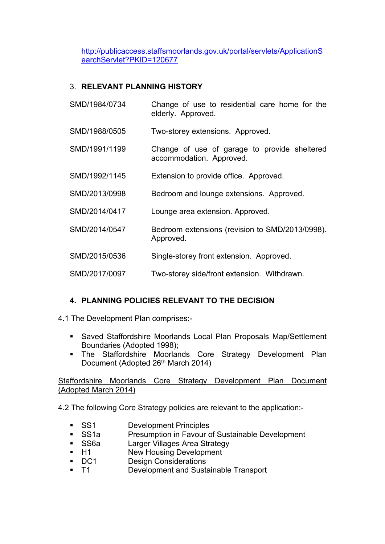[http://publicaccess.staffsmoorlands.gov.uk/portal/servlets/ApplicationS](http://publicaccess.staffsmoorlands.gov.uk/portal/servlets/ApplicationSearchServlet?PKID=120677) [earchServlet?PKID=120677](http://publicaccess.staffsmoorlands.gov.uk/portal/servlets/ApplicationSearchServlet?PKID=120677)

# 3. **RELEVANT PLANNING HISTORY**

- SMD/1984/0734 Change of use to residential care home for the elderly. Approved.
- SMD/1988/0505 Two-storey extensions. Approved.
- SMD/1991/1199 Change of use of garage to provide sheltered accommodation. Approved.
- SMD/1992/1145 Extension to provide office. Approved.
- SMD/2013/0998 Bedroom and lounge extensions. Approved.
- SMD/2014/0417 Lounge area extension. Approved.
- SMD/2014/0547 Bedroom extensions (revision to SMD/2013/0998). Approved.
- SMD/2015/0536 Single-storey front extension. Approved.
- SMD/2017/0097 Two-storey side/front extension. Withdrawn.

## **4. PLANNING POLICIES RELEVANT TO THE DECISION**

4.1 The Development Plan comprises:-

- Saved Staffordshire Moorlands Local Plan Proposals Map/Settlement Boundaries (Adopted 1998);
- The Staffordshire Moorlands Core Strategy Development Plan Document (Adopted 26<sup>th</sup> March 2014)

Staffordshire Moorlands Core Strategy Development Plan Document (Adopted March 2014)

4.2 The following Core Strategy policies are relevant to the application:-

- **SS1** Development Principles
- SS1a Presumption in Favour of Sustainable Development
- **SS6a** Larger Villages Area Strategy
- H1 New Housing Development
- **DC1** Design Considerations
- T1 Development and Sustainable Transport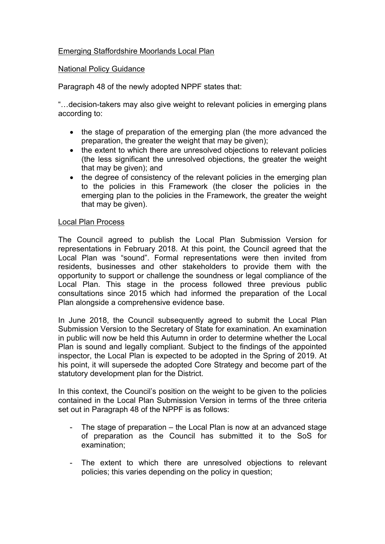## Emerging Staffordshire Moorlands Local Plan

### National Policy Guidance

Paragraph 48 of the newly adopted NPPF states that:

"…decision-takers may also give weight to relevant policies in emerging plans according to:

- the stage of preparation of the emerging plan (the more advanced the preparation, the greater the weight that may be given);
- the extent to which there are unresolved objections to relevant policies (the less significant the unresolved objections, the greater the weight that may be given); and
- the degree of consistency of the relevant policies in the emerging plan to the policies in this Framework (the closer the policies in the emerging plan to the policies in the Framework, the greater the weight that may be given).

### Local Plan Process

The Council agreed to publish the Local Plan Submission Version for representations in February 2018. At this point, the Council agreed that the Local Plan was "sound". Formal representations were then invited from residents, businesses and other stakeholders to provide them with the opportunity to support or challenge the soundness or legal compliance of the Local Plan. This stage in the process followed three previous public consultations since 2015 which had informed the preparation of the Local Plan alongside a comprehensive evidence base.

In June 2018, the Council subsequently agreed to submit the Local Plan Submission Version to the Secretary of State for examination. An examination in public will now be held this Autumn in order to determine whether the Local Plan is sound and legally compliant. Subject to the findings of the appointed inspector, the Local Plan is expected to be adopted in the Spring of 2019. At his point, it will supersede the adopted Core Strategy and become part of the statutory development plan for the District.

In this context, the Council's position on the weight to be given to the policies contained in the Local Plan Submission Version in terms of the three criteria set out in Paragraph 48 of the NPPF is as follows:

- The stage of preparation  $-$  the Local Plan is now at an advanced stage of preparation as the Council has submitted it to the SoS for examination;
- The extent to which there are unresolved objections to relevant policies; this varies depending on the policy in question;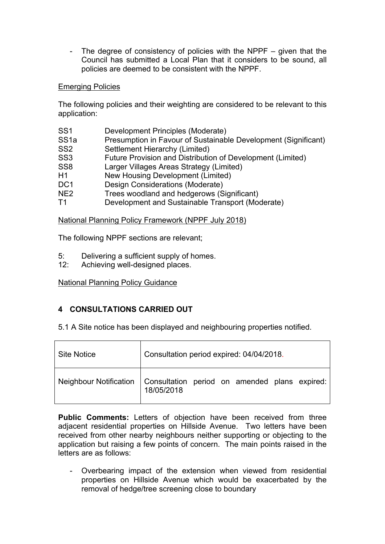- The degree of consistency of policies with the NPPF – given that the Council has submitted a Local Plan that it considers to be sound, all policies are deemed to be consistent with the NPPF.

## Emerging Policies

The following policies and their weighting are considered to be relevant to this application:

| SS <sub>1</sub>  | Development Principles (Moderate)                              |
|------------------|----------------------------------------------------------------|
| SS <sub>1a</sub> | Presumption in Favour of Sustainable Development (Significant) |
| SS <sub>2</sub>  | Settlement Hierarchy (Limited)                                 |
| SS <sub>3</sub>  | Future Provision and Distribution of Development (Limited)     |
| SS <sub>8</sub>  | Larger Villages Areas Strategy (Limited)                       |
| H1               | New Housing Development (Limited)                              |
| DC <sub>1</sub>  | Design Considerations (Moderate)                               |
| NE <sub>2</sub>  | Trees woodland and hedgerows (Significant)                     |
| T1               | Development and Sustainable Transport (Moderate)               |
|                  |                                                                |

National Planning Policy Framework (NPPF July 2018)

The following NPPF sections are relevant;

- 5: Delivering a sufficient supply of homes.
- 12: Achieving well-designed places.

National Planning Policy Guidance

# **4 CONSULTATIONS CARRIED OUT**

5.1 A Site notice has been displayed and neighbouring properties notified.

| <b>Site Notice</b> | Consultation period expired: 04/04/2018.                                             |  |
|--------------------|--------------------------------------------------------------------------------------|--|
|                    | Neighbour Notification   Consultation period on amended plans expired:<br>18/05/2018 |  |

**Public Comments:** Letters of objection have been received from three adjacent residential properties on Hillside Avenue. Two letters have been received from other nearby neighbours neither supporting or objecting to the application but raising a few points of concern. The main points raised in the letters are as follows:

- Overbearing impact of the extension when viewed from residential properties on Hillside Avenue which would be exacerbated by the removal of hedge/tree screening close to boundary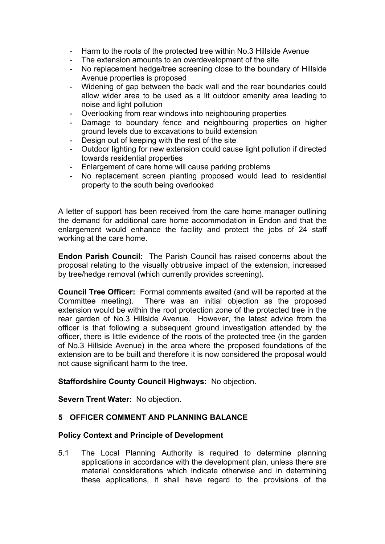- Harm to the roots of the protected tree within No.3 Hillside Avenue
- The extension amounts to an overdevelopment of the site
- No replacement hedge/tree screening close to the boundary of Hillside Avenue properties is proposed
- Widening of gap between the back wall and the rear boundaries could allow wider area to be used as a lit outdoor amenity area leading to noise and light pollution
- Overlooking from rear windows into neighbouring properties
- Damage to boundary fence and neighbouring properties on higher ground levels due to excavations to build extension
- Design out of keeping with the rest of the site
- Outdoor lighting for new extension could cause light pollution if directed towards residential properties
- Enlargement of care home will cause parking problems
- No replacement screen planting proposed would lead to residential property to the south being overlooked

A letter of support has been received from the care home manager outlining the demand for additional care home accommodation in Endon and that the enlargement would enhance the facility and protect the jobs of 24 staff working at the care home.

**Endon Parish Council:** The Parish Council has raised concerns about the proposal relating to the visually obtrusive impact of the extension, increased by tree/hedge removal (which currently provides screening).

**Council Tree Officer:** Formal comments awaited (and will be reported at the Committee meeting). There was an initial objection as the proposed extension would be within the root protection zone of the protected tree in the rear garden of No.3 Hillside Avenue. However, the latest advice from the officer is that following a subsequent ground investigation attended by the officer, there is little evidence of the roots of the protected tree (in the garden of No.3 Hillside Avenue) in the area where the proposed foundations of the extension are to be built and therefore it is now considered the proposal would not cause significant harm to the tree.

## **Staffordshire County Council Highways:** No objection.

**Severn Trent Water:** No objection.

## **5 OFFICER COMMENT AND PLANNING BALANCE**

#### **Policy Context and Principle of Development**

5.1 The Local Planning Authority is required to determine planning applications in accordance with the development plan, unless there are material considerations which indicate otherwise and in determining these applications, it shall have regard to the provisions of the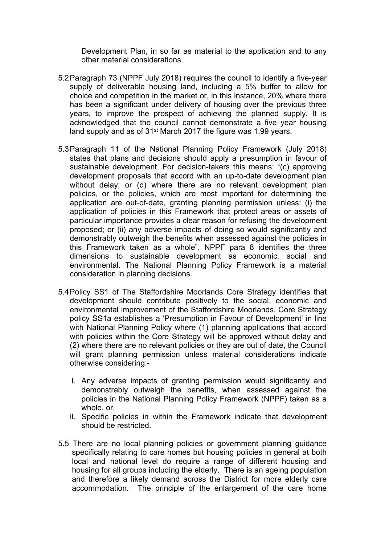Development Plan, in so far as material to the application and to any other material considerations.

- 5.2Paragraph 73 (NPPF July 2018) requires the council to identify a five-year supply of deliverable housing land, including a 5% buffer to allow for choice and competition in the market or, in this instance, 20% where there has been a significant under delivery of housing over the previous three years, to improve the prospect of achieving the planned supply. It is acknowledged that the council cannot demonstrate a five year housing land supply and as of 31st March 2017 the figure was 1.99 years.
- 5.3Paragraph 11 of the National Planning Policy Framework (July 2018) states that plans and decisions should apply a presumption in favour of sustainable development. For decision-takers this means: "(c) approving development proposals that accord with an up-to-date development plan without delay; or (d) where there are no relevant development plan policies, or the policies, which are most important for determining the application are out-of-date, granting planning permission unless: (i) the application of policies in this Framework that protect areas or assets of particular importance provides a clear reason for refusing the development proposed; or (ii) any adverse impacts of doing so would significantly and demonstrably outweigh the benefits when assessed against the policies in this Framework taken as a whole". NPPF para 8 identifies the three dimensions to sustainable development as economic, social and environmental. The National Planning Policy Framework is a material consideration in planning decisions.
- 5.4Policy SS1 of The Staffordshire Moorlands Core Strategy identifies that development should contribute positively to the social, economic and environmental improvement of the Staffordshire Moorlands. Core Strategy policy SS1a establishes a 'Presumption in Favour of Development' in line with National Planning Policy where (1) planning applications that accord with policies within the Core Strategy will be approved without delay and (2) where there are no relevant policies or they are out of date, the Council will grant planning permission unless material considerations indicate otherwise considering:-
	- I. Any adverse impacts of granting permission would significantly and demonstrably outweigh the benefits, when assessed against the policies in the National Planning Policy Framework (NPPF) taken as a whole, or,
	- II. Specific policies in within the Framework indicate that development should be restricted.
- 5.5 There are no local planning policies or government planning guidance specifically relating to care homes but housing policies in general at both local and national level do require a range of different housing and housing for all groups including the elderly. There is an ageing population and therefore a likely demand across the District for more elderly care accommodation. The principle of the enlargement of the care home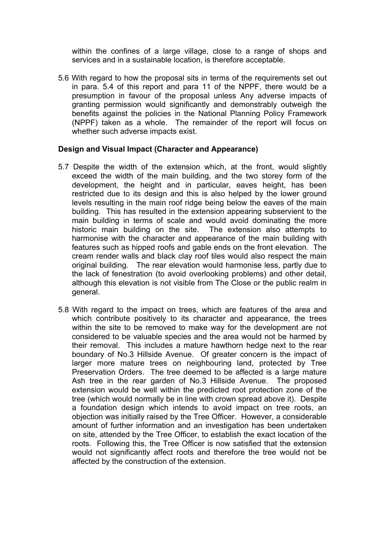within the confines of a large village, close to a range of shops and services and in a sustainable location, is therefore acceptable.

5.6 With regard to how the proposal sits in terms of the requirements set out in para. 5.4 of this report and para 11 of the NPPF, there would be a presumption in favour of the proposal unless Any adverse impacts of granting permission would significantly and demonstrably outweigh the benefits against the policies in the National Planning Policy Framework (NPPF) taken as a whole. The remainder of the report will focus on whether such adverse impacts exist.

### **Design and Visual Impact (Character and Appearance)**

- 5.7 Despite the width of the extension which, at the front, would slightly exceed the width of the main building, and the two storey form of the development, the height and in particular, eaves height, has been restricted due to its design and this is also helped by the lower ground levels resulting in the main roof ridge being below the eaves of the main building. This has resulted in the extension appearing subservient to the main building in terms of scale and would avoid dominating the more historic main building on the site. The extension also attempts to harmonise with the character and appearance of the main building with features such as hipped roofs and gable ends on the front elevation. The cream render walls and black clay roof tiles would also respect the main original building. The rear elevation would harmonise less, partly due to the lack of fenestration (to avoid overlooking problems) and other detail, although this elevation is not visible from The Close or the public realm in general.
- 5.8 With regard to the impact on trees, which are features of the area and which contribute positively to its character and appearance, the trees within the site to be removed to make way for the development are not considered to be valuable species and the area would not be harmed by their removal. This includes a mature hawthorn hedge next to the rear boundary of No.3 Hillside Avenue. Of greater concern is the impact of larger more mature trees on neighbouring land, protected by Tree Preservation Orders. The tree deemed to be affected is a large mature Ash tree in the rear garden of No.3 Hillside Avenue. The proposed extension would be well within the predicted root protection zone of the tree (which would normally be in line with crown spread above it). Despite a foundation design which intends to avoid impact on tree roots, an objection was initially raised by the Tree Officer. However, a considerable amount of further information and an investigation has been undertaken on site, attended by the Tree Officer, to establish the exact location of the roots. Following this, the Tree Officer is now satisfied that the extension would not significantly affect roots and therefore the tree would not be affected by the construction of the extension.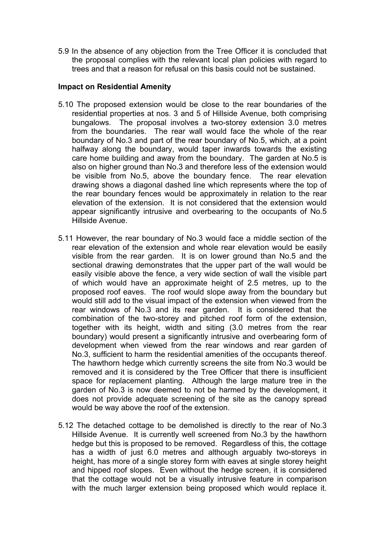5.9 In the absence of any objection from the Tree Officer it is concluded that the proposal complies with the relevant local plan policies with regard to trees and that a reason for refusal on this basis could not be sustained.

### **Impact on Residential Amenity**

- 5.10 The proposed extension would be close to the rear boundaries of the residential properties at nos. 3 and 5 of Hillside Avenue, both comprising bungalows. The proposal involves a two-storey extension 3.0 metres from the boundaries. The rear wall would face the whole of the rear boundary of No.3 and part of the rear boundary of No.5, which, at a point halfway along the boundary, would taper inwards towards the existing care home building and away from the boundary. The garden at No.5 is also on higher ground than No.3 and therefore less of the extension would be visible from No.5, above the boundary fence. The rear elevation drawing shows a diagonal dashed line which represents where the top of the rear boundary fences would be approximately in relation to the rear elevation of the extension. It is not considered that the extension would appear significantly intrusive and overbearing to the occupants of No.5 Hillside Avenue.
- 5.11 However, the rear boundary of No.3 would face a middle section of the rear elevation of the extension and whole rear elevation would be easily visible from the rear garden. It is on lower ground than No.5 and the sectional drawing demonstrates that the upper part of the wall would be easily visible above the fence, a very wide section of wall the visible part of which would have an approximate height of 2.5 metres, up to the proposed roof eaves. The roof would slope away from the boundary but would still add to the visual impact of the extension when viewed from the rear windows of No.3 and its rear garden. It is considered that the combination of the two-storey and pitched roof form of the extension, together with its height, width and siting (3.0 metres from the rear boundary) would present a significantly intrusive and overbearing form of development when viewed from the rear windows and rear garden of No.3, sufficient to harm the residential amenities of the occupants thereof. The hawthorn hedge which currently screens the site from No.3 would be removed and it is considered by the Tree Officer that there is insufficient space for replacement planting. Although the large mature tree in the garden of No.3 is now deemed to not be harmed by the development, it does not provide adequate screening of the site as the canopy spread would be way above the roof of the extension.
- 5.12 The detached cottage to be demolished is directly to the rear of No.3 Hillside Avenue. It is currently well screened from No.3 by the hawthorn hedge but this is proposed to be removed. Regardless of this, the cottage has a width of just 6.0 metres and although arguably two-storeys in height, has more of a single storey form with eaves at single storey height and hipped roof slopes. Even without the hedge screen, it is considered that the cottage would not be a visually intrusive feature in comparison with the much larger extension being proposed which would replace it.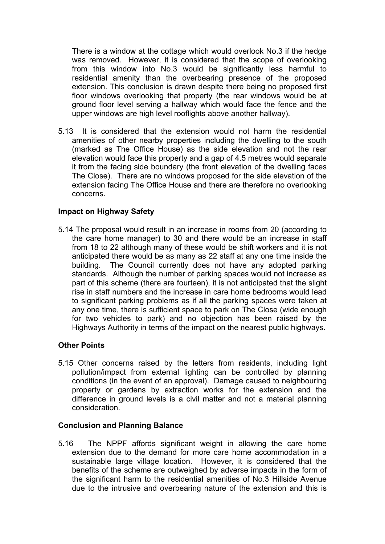There is a window at the cottage which would overlook No.3 if the hedge was removed. However, it is considered that the scope of overlooking from this window into No.3 would be significantly less harmful to residential amenity than the overbearing presence of the proposed extension. This conclusion is drawn despite there being no proposed first floor windows overlooking that property (the rear windows would be at ground floor level serving a hallway which would face the fence and the upper windows are high level rooflights above another hallway).

5.13 It is considered that the extension would not harm the residential amenities of other nearby properties including the dwelling to the south (marked as The Office House) as the side elevation and not the rear elevation would face this property and a gap of 4.5 metres would separate it from the facing side boundary (the front elevation of the dwelling faces The Close). There are no windows proposed for the side elevation of the extension facing The Office House and there are therefore no overlooking concerns.

## **Impact on Highway Safety**

5.14 The proposal would result in an increase in rooms from 20 (according to the care home manager) to 30 and there would be an increase in staff from 18 to 22 although many of these would be shift workers and it is not anticipated there would be as many as 22 staff at any one time inside the building. The Council currently does not have any adopted parking standards. Although the number of parking spaces would not increase as part of this scheme (there are fourteen), it is not anticipated that the slight rise in staff numbers and the increase in care home bedrooms would lead to significant parking problems as if all the parking spaces were taken at any one time, there is sufficient space to park on The Close (wide enough for two vehicles to park) and no objection has been raised by the Highways Authority in terms of the impact on the nearest public highways.

#### **Other Points**

5.15 Other concerns raised by the letters from residents, including light pollution/impact from external lighting can be controlled by planning conditions (in the event of an approval). Damage caused to neighbouring property or gardens by extraction works for the extension and the difference in ground levels is a civil matter and not a material planning consideration.

#### **Conclusion and Planning Balance**

5.16 The NPPF affords significant weight in allowing the care home extension due to the demand for more care home accommodation in a sustainable large village location. However, it is considered that the benefits of the scheme are outweighed by adverse impacts in the form of the significant harm to the residential amenities of No.3 Hillside Avenue due to the intrusive and overbearing nature of the extension and this is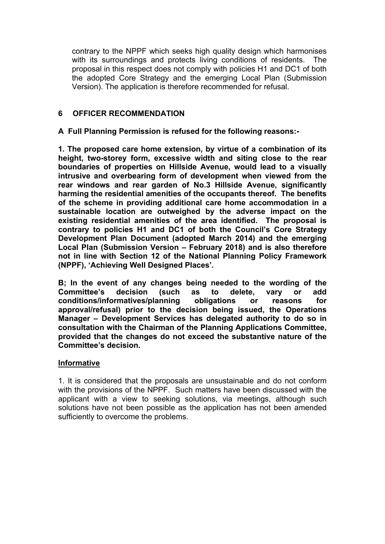contrary to the NPPF which seeks high quality design which harmonises with its surroundings and protects living conditions of residents. The proposal in this respect does not comply with policies H1 and DC1 of both the adopted Core Strategy and the emerging Local Plan (Submission Version). The application is therefore recommended for refusal.

## **6 OFFICER RECOMMENDATION**

## **A Full Planning Permission is refused for the following reasons:-**

**1. The proposed care home extension, by virtue of a combination of its height, two-storey form, excessive width and siting close to the rear boundaries of properties on Hillside Avenue, would lead to a visually intrusive and overbearing form of development when viewed from the rear windows and rear garden of No.3 Hillside Avenue, significantly harming the residential amenities of the occupants thereof. The benefits of the scheme in providing additional care home accommodation in a sustainable location are outweighed by the adverse impact on the existing residential amenities of the area identified. The proposal is contrary to policies H1 and DC1 of both the Council's Core Strategy Development Plan Document (adopted March 2014) and the emerging Local Plan (Submission Version – February 2018) and is also therefore not in line with Section 12 of the National Planning Policy Framework (NPPF), 'Achieving Well Designed Places'.** 

**B; In the event of any changes being needed to the wording of the Committee's decision (such as to delete, vary or add conditions/informatives/planning obligations or reasons for approval/refusal) prior to the decision being issued, the Operations Manager – Development Services has delegated authority to do so in consultation with the Chairman of the Planning Applications Committee, provided that the changes do not exceed the substantive nature of the Committee's decision.**

## **Informative**

1. It is considered that the proposals are unsustainable and do not conform with the provisions of the NPPF. Such matters have been discussed with the applicant with a view to seeking solutions, via meetings, although such solutions have not been possible as the application has not been amended sufficiently to overcome the problems.